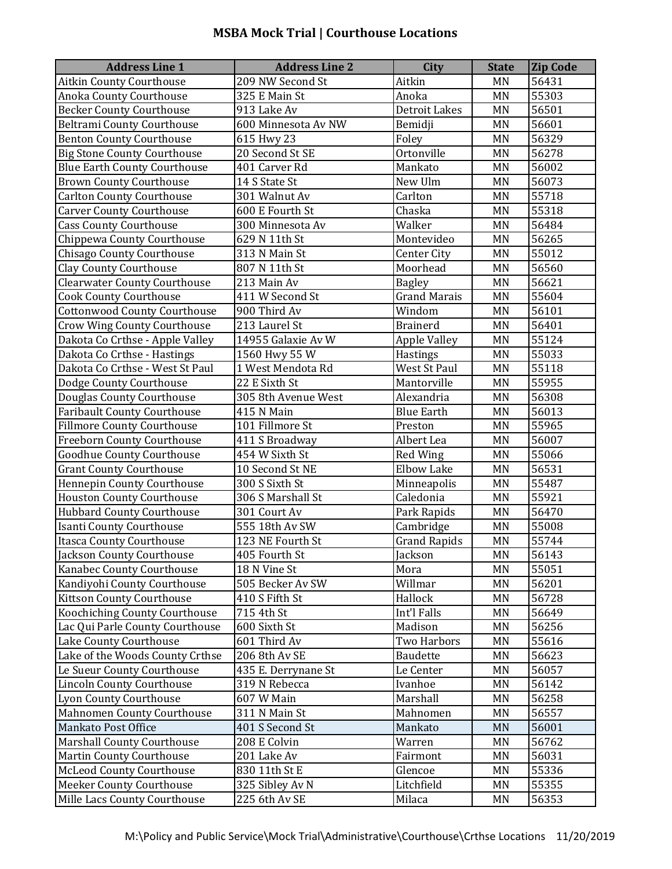## **MSBA Mock Trial | Courthouse Locations**

| <b>Address Line 1</b>               | <b>Address Line 2</b> | <b>City</b>          | <b>State</b> | <b>Zip Code</b> |
|-------------------------------------|-----------------------|----------------------|--------------|-----------------|
| <b>Aitkin County Courthouse</b>     | 209 NW Second St      | Aitkin               | <b>MN</b>    | 56431           |
| Anoka County Courthouse             | $325$ E Main St       | Anoka                | <b>MN</b>    | 55303           |
| Becker County Courthouse            | 913 Lake Av           | <b>Detroit Lakes</b> | <b>MN</b>    | 56501           |
| <b>Beltrami County Courthouse</b>   | 600 Minnesota Av NW   | Bemidji              | <b>MN</b>    | 56601           |
| <b>Benton County Courthouse</b>     | 615 Hwy 23            | Foley                | <b>MN</b>    | 56329           |
| <b>Big Stone County Courthouse</b>  | 20 Second St SE       | Ortonville           | <b>MN</b>    | 56278           |
| <b>Blue Earth County Courthouse</b> | 401 Carver Rd         | Mankato              | <b>MN</b>    | 56002           |
| <b>Brown County Courthouse</b>      | 14 S State St         | New Ulm              | <b>MN</b>    | 56073           |
| <b>Carlton County Courthouse</b>    | 301 Walnut Av         | Carlton              | <b>MN</b>    | 55718           |
| <b>Carver County Courthouse</b>     | 600 E Fourth St       | Chaska               | <b>MN</b>    | 55318           |
| <b>Cass County Courthouse</b>       | 300 Minnesota Av      | Walker               | <b>MN</b>    | 56484           |
| Chippewa County Courthouse          | 629 N 11th St         | Montevideo           | <b>MN</b>    | 56265           |
| <b>Chisago County Courthouse</b>    | 313 N Main St         | <b>Center City</b>   | <b>MN</b>    | 55012           |
| <b>Clay County Courthouse</b>       | 807 N 11th St         | Moorhead             | <b>MN</b>    | 56560           |
| <b>Clearwater County Courthouse</b> | 213 Main Av           | <b>Bagley</b>        | <b>MN</b>    | 56621           |
| <b>Cook County Courthouse</b>       | 411 W Second St       | <b>Grand Marais</b>  | <b>MN</b>    | 55604           |
| Cottonwood County Courthouse        | 900 Third Av          | Windom               | <b>MN</b>    | 56101           |
| <b>Crow Wing County Courthouse</b>  | 213 Laurel St         | <b>Brainerd</b>      | <b>MN</b>    | 56401           |
| Dakota Co Crthse - Apple Valley     | 14955 Galaxie Av W    | <b>Apple Valley</b>  | <b>MN</b>    | 55124           |
| Dakota Co Crthse - Hastings         | 1560 Hwy 55 W         | Hastings             | <b>MN</b>    | 55033           |
| Dakota Co Crthse - West St Paul     | 1 West Mendota Rd     | West St Paul         | <b>MN</b>    | 55118           |
| Dodge County Courthouse             | 22 E Sixth St         | Mantorville          | <b>MN</b>    | 55955           |
| Douglas County Courthouse           | 305 8th Avenue West   | Alexandria           | <b>MN</b>    | 56308           |
| <b>Faribault County Courthouse</b>  | 415 N Main            | <b>Blue Earth</b>    | <b>MN</b>    | 56013           |
| <b>Fillmore County Courthouse</b>   | 101 Fillmore St       | Preston              | <b>MN</b>    | 55965           |
| <b>Freeborn County Courthouse</b>   | 411 S Broadway        | Albert Lea           | <b>MN</b>    | 56007           |
| <b>Goodhue County Courthouse</b>    | 454 W Sixth St        | <b>Red Wing</b>      | <b>MN</b>    | 55066           |
| <b>Grant County Courthouse</b>      | 10 Second St NE       | <b>Elbow Lake</b>    | <b>MN</b>    | 56531           |
| <b>Hennepin County Courthouse</b>   | 300 S Sixth St        | Minneapolis          | <b>MN</b>    | 55487           |
| <b>Houston County Courthouse</b>    | 306 S Marshall St     | Caledonia            | <b>MN</b>    | 55921           |
| <b>Hubbard County Courthouse</b>    | 301 Court Av          | Park Rapids          | <b>MN</b>    | 56470           |
| <b>Isanti County Courthouse</b>     | 555 18th Av SW        | Cambridge            | <b>MN</b>    | 55008           |
| <b>Itasca County Courthouse</b>     | 123 NE Fourth St      | <b>Grand Rapids</b>  | <b>MN</b>    | 55744           |
| Jackson County Courthouse           | 405 Fourth St         | Jackson              | MN           | 56143           |
| Kanabec County Courthouse           | 18 N Vine St          | Mora                 | <b>MN</b>    | 55051           |
| Kandiyohi County Courthouse         | 505 Becker Av SW      | Willmar              | <b>MN</b>    | 56201           |
| <b>Kittson County Courthouse</b>    | 410 S Fifth St        | Hallock              | <b>MN</b>    | 56728           |
| Koochiching County Courthouse       | 715 4th St            | Int'l Falls          | <b>MN</b>    | 56649           |
| Lac Qui Parle County Courthouse     | 600 Sixth St          | Madison              | <b>MN</b>    | 56256           |
| Lake County Courthouse              | 601 Third Av          | Two Harbors          | MN           | 55616           |
| Lake of the Woods County Crthse     | 206 8th Av SE         | <b>Baudette</b>      | <b>MN</b>    | 56623           |
| Le Sueur County Courthouse          | 435 E. Derrynane St   | Le Center            | MN           | 56057           |
| <b>Lincoln County Courthouse</b>    | 319 N Rebecca         | Ivanhoe              | <b>MN</b>    | 56142           |
| Lyon County Courthouse              | 607 W Main            | Marshall             | <b>MN</b>    | 56258           |
| Mahnomen County Courthouse          | 311 N Main St         | Mahnomen             | <b>MN</b>    | 56557           |
| Mankato Post Office                 | 401 S Second St       | Mankato              | <b>MN</b>    | 56001           |
| <b>Marshall County Courthouse</b>   | 208 E Colvin          | Warren               | <b>MN</b>    | 56762           |
| <b>Martin County Courthouse</b>     | 201 Lake Av           | Fairmont             | MN           | 56031           |
| <b>McLeod County Courthouse</b>     | 830 11th St E         | Glencoe              | <b>MN</b>    | 55336           |
| <b>Meeker County Courthouse</b>     | 325 Sibley Av N       | Litchfield           | <b>MN</b>    | 55355           |
| Mille Lacs County Courthouse        | 225 6th Av SE         | Milaca               | MN           | 56353           |